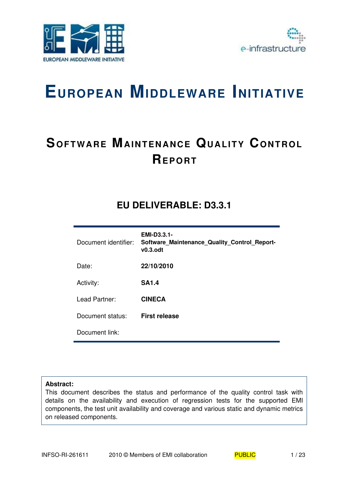



## **SOFTWARE MAINTENANCE QUALITY CONTROL REP O RT**

### **EU DELIVERABLE: D3.3.1**

| Document identifier: | <b>EMI-D3.3.1-</b><br>Software Maintenance Quality Control Report-<br>$v0.3.$ odt |
|----------------------|-----------------------------------------------------------------------------------|
| Date:                | 22/10/2010                                                                        |
| Activity:            | <b>SA1.4</b>                                                                      |
| Lead Partner:        | <b>CINECA</b>                                                                     |
| Document status:     | <b>First release</b>                                                              |
| Document link:       |                                                                                   |

#### **Abstract:**

This document describes the status and performance of the quality control task with details on the availability and execution of regression tests for the supported EMI components, the test unit availability and coverage and various static and dynamic metrics on released components.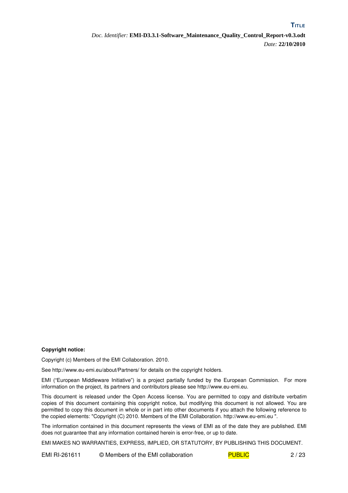**TITLE**

#### **Copyright notice:**

Copyright (c) Members of the EMI Collaboration. 2010.

See http://www.eu-emi.eu/about/Partners/ for details on the copyright holders.

EMI ("European Middleware Initiative") is a project partially funded by the European Commission. For more information on the project, its partners and contributors please see http://www.eu-emi.eu.

This document is released under the Open Access license. You are permitted to copy and distribute verbatim copies of this document containing this copyright notice, but modifying this document is not allowed. You are permitted to copy this document in whole or in part into other documents if you attach the following reference to the copied elements: "Copyright (C) 2010. Members of the EMI Collaboration. http://www.euemi.eu ".

The information contained in this document represents the views of EMI as of the date they are published. EMI does not guarantee that any information contained herein is error-free, or up to date.

EMI MAKES NO WARRANTIES, EXPRESS, IMPLIED, OR STATUTORY, BY PUBLISHING THIS DOCUMENT.

EMI RI-261611 © Members of the EMI collaboration PUBLIC 2/23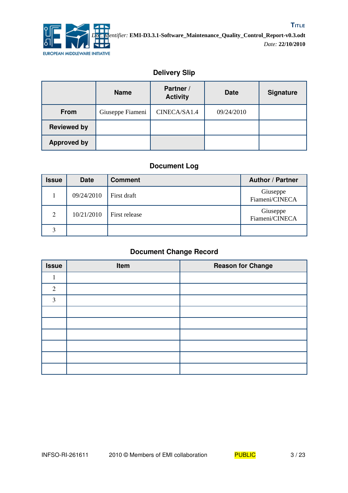![](_page_2_Picture_0.jpeg)

#### **Delivery Slip**

|                    | <b>Name</b>      | Partner /<br><b>Activity</b> | <b>Date</b> | <b>Signature</b> |
|--------------------|------------------|------------------------------|-------------|------------------|
| <b>From</b>        | Giuseppe Fiameni | CINECA/SA1.4                 | 09/24/2010  |                  |
| <b>Reviewed by</b> |                  |                              |             |                  |
| <b>Approved by</b> |                  |                              |             |                  |

#### **Document Log**

| <b>Issue</b> | <b>Date</b> | <b>Comment</b> | <b>Author / Partner</b>    |
|--------------|-------------|----------------|----------------------------|
|              | 09/24/2010  | First draft    | Giuseppe<br>Fiameni/CINECA |
| 2            | 10/21/2010  | First release  | Giuseppe<br>Fiameni/CINECA |
| 3            |             |                |                            |

#### **Document Change Record**

| <b>Issue</b> | Item | <b>Reason for Change</b> |
|--------------|------|--------------------------|
|              |      |                          |
| 2            |      |                          |
| 3            |      |                          |
|              |      |                          |
|              |      |                          |
|              |      |                          |
|              |      |                          |
|              |      |                          |
|              |      |                          |

![](_page_2_Picture_9.jpeg)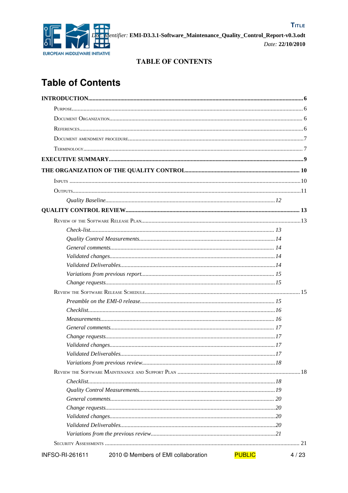![](_page_3_Picture_0.jpeg)

#### **TABLE OF CONTENTS**

## **Table of Contents**

| INFSO-RI-261611 | 2010 © Members of EMI collaboration | <b>PUBLIC</b> | 4/23 |
|-----------------|-------------------------------------|---------------|------|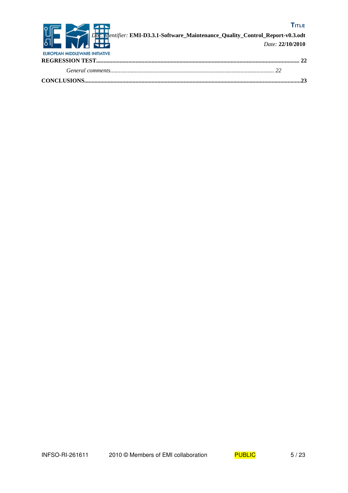![](_page_4_Picture_0.jpeg)

![](_page_4_Picture_2.jpeg)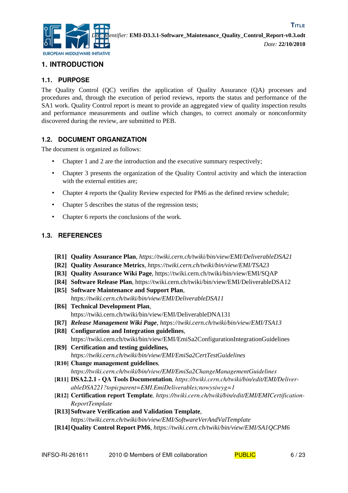![](_page_5_Picture_0.jpeg)

#### **1. INTRODUCTION**

#### **1.1. PURPOSE**

The Quality Control (QC) verifies the application of Quality Assurance (QA) processes and procedures and, through the execution of period reviews, reports the status and performance of the SA1 work. Quality Control report is meant to provide an aggregated view of quality inspection results and performance measurements and outline which changes, to correct anomaly or nonconformity discovered during the review, are submitted to PEB.

#### **1.2. DOCUMENT ORGANIZATION**

The document is organized as follows:

- Chapter 1 and 2 are the introduction and the executive summary respectively;
- Chapter 3 presents the organization of the Quality Control activity and which the interaction with the external entities are;
- Chapter 4 reports the Quality Review expected for PM6 as the defined review schedule;
- Chapter 5 describes the status of the regression tests;
- Chapter 6 reports the conclusions of the work.

#### **1.3. REFERENCES**

- <span id="page-5-1"></span>**[R1] Quality Assurance Plan**, *https://twiki.cern.ch/twiki/bin/view/EMI/DeliverableDSA21*
- **[R2] Quality Assurance Metrics**, *https://twiki.cern.ch/twiki/bin/view/EMI/TSA23*
- **[R3] Quality Assurance Wiki Page**, https://twiki.cern.ch/twiki/bin/view/EMI/SQAP
- <span id="page-5-2"></span>**[R4] Software Release Plan**, https://twiki.cern.ch/twiki/bin/view/EMI/DeliverableDSA12
- <span id="page-5-7"></span>**[R5] Software Maintenance and Support Plan**, *https://twiki.cern.ch/twiki/bin/view/EMI/DeliverableDSA11*
- <span id="page-5-6"></span>**[R6] Technical Development Plan**, https://twiki.cern.ch/twiki/bin/view/EMI/DeliverableDNA131
- <span id="page-5-5"></span>**[R7]** *Release Management Wiki Page, https://twiki.cern.ch/twiki/bin/view/EMI/TSA13*
- <span id="page-5-4"></span>**[R8] Configuration and Integration guidelines***,* https://twiki.cern.ch/twiki/bin/view/EMI/EmiSa2ConfigurationIntegrationGuidelines
- <span id="page-5-11"></span>**[R9] Certification and testing guidelines***, https://twiki.cern.ch/twiki/bin/view/EMI/EmiSa2CertTestGuidelines*
- <span id="page-5-3"></span>[R10] Change management guidelines*, https://twiki.cern.ch/twiki/bin/view/EMI/EmiSa2ChangeManagementGuidelines*
- <span id="page-5-8"></span>[R11] DSA2.2.1 QA Tools Documentation*, https://twiki.cern.ch/twiki/bin/edit/EMI/DeliverableDSA221?topicparent=EMI.EmiDeliverables;nowysiwyg=1*
- <span id="page-5-10"></span>[R12] Certification report Template*, https://twiki.cern.ch/twiki/bin/edit/EMI/EMICertification-ReportTemplate*
- <span id="page-5-9"></span>**[R13] Software Verification and Validation Template***, https://twiki.cern.ch/twiki/bin/view/EMI/SoftwareVerAndValTemplate*
- <span id="page-5-0"></span>**[R14]Quality Control Report PM6***, https://twiki.cern.ch/twiki/bin/view/EMI/SA1QCPM6*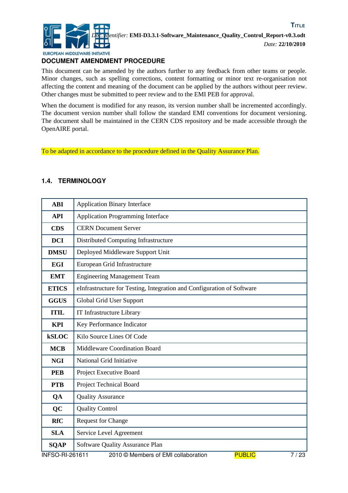![](_page_6_Picture_0.jpeg)

**TITLE**

#### **DOCUMENT AMENDMENT PROCEDURE**

This document can be amended by the authors further to any feedback from other teams or people. Minor changes, such as spelling corrections, content formatting or minor text re-organisation not affecting the content and meaning of the document can be applied by the authors without peer review. Other changes must be submitted to peer review and to the EMI PEB for approval.

When the document is modified for any reason, its version number shall be incremented accordingly. The document version number shall follow the standard EMI conventions for document versioning. The document shall be maintained in the CERN CDS repository and be made accessible through the OpenAIRE portal.

To be adapted in accordance to the procedure defined in the Quality Assurance Plan.

#### **1.4. TERMINOLOGY**

| <b>ABI</b>             | <b>Application Binary Interface</b>                                    |
|------------------------|------------------------------------------------------------------------|
| <b>API</b>             | <b>Application Programming Interface</b>                               |
| <b>CDS</b>             | <b>CERN Document Server</b>                                            |
| <b>DCI</b>             | Distributed Computing Infrastructure                                   |
| <b>DMSU</b>            | Deployed Middleware Support Unit                                       |
| <b>EGI</b>             | European Grid Infrastructure                                           |
| <b>EMT</b>             | <b>Engineering Management Team</b>                                     |
| <b>ETICS</b>           | eInfrastructure for Testing, Integration and Configuration of Software |
| <b>GGUS</b>            | Global Grid User Support                                               |
| <b>ITIL</b>            | IT Infrastructure Library                                              |
| <b>KPI</b>             | Key Performance Indicator                                              |
| <b>kSLOC</b>           | Kilo Source Lines Of Code                                              |
| <b>MCB</b>             | Middleware Coordination Board                                          |
| <b>NGI</b>             | National Grid Initiative                                               |
| <b>PEB</b>             | Project Executive Board                                                |
| <b>PTB</b>             | <b>Project Technical Board</b>                                         |
| QA                     | <b>Quality Assurance</b>                                               |
| QC                     | <b>Quality Control</b>                                                 |
| <b>RfC</b>             | <b>Request for Change</b>                                              |
| <b>SLA</b>             | Service Level Agreement                                                |
| <b>SQAP</b>            | Software Quality Assurance Plan                                        |
| <b>INFSO-RI-261611</b> | <b>PUBLIC</b><br>7/23<br>2010 © Members of EMI collaboration           |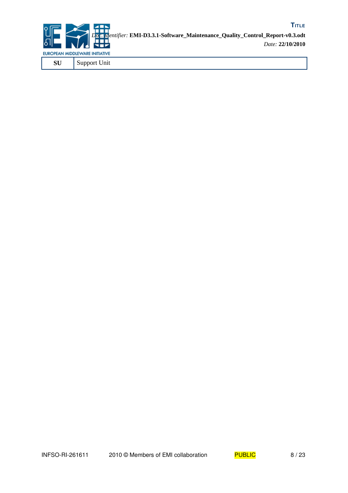![](_page_7_Picture_0.jpeg)

![](_page_7_Picture_2.jpeg)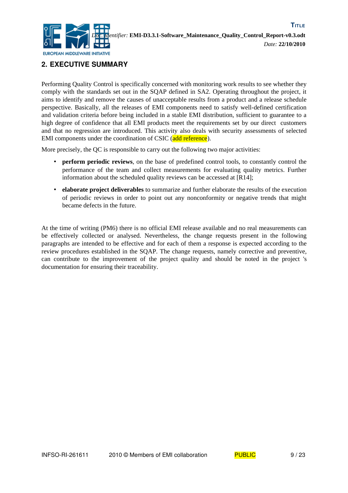![](_page_8_Picture_0.jpeg)

#### **2. EXECUTIVE SUMMARY**

Performing Quality Control is specifically concerned with monitoring work results to see whether they comply with the standards set out in the SQAP defined in SA2. Operating throughout the project, it aims to identify and remove the causes of unacceptable results from a product and a release schedule perspective. Basically, all the releases of EMI components need to satisfy well-defined certification and validation criteria before being included in a stable EMI distribution, sufficient to guarantee to a high degree of confidence that all EMI products meet the requirements set by our direct customers and that no regression are introduced. This activity also deals with security assessments of selected EMI components under the coordination of CSIC (add reference).

More precisely, the QC is responsible to carry out the following two major activities:

- **perform periodic reviews**, on the base of predefined control tools, to constantly control the performance of the team and collect measurements for evaluating quality metrics. Further information about the scheduled quality reviews can be accessed at [\[R14\];](#page-5-0)
- **elaborate project deliverables** to summarize and further elaborate the results of the execution of periodic reviews in order to point out any nonconformity or negative trends that might became defects in the future.

At the time of writing (PM6) there is no official EMI release available and no real measurements can be effectively collected or analysed. Nevertheless, the change requests present in the following paragraphs are intended to be effective and for each of them a response is expected according to the review procedures established in the SQAP. The change requests, namely corrective and preventive, can contribute to the improvement of the project quality and should be noted in the project 's documentation for ensuring their traceability.

![](_page_8_Picture_9.jpeg)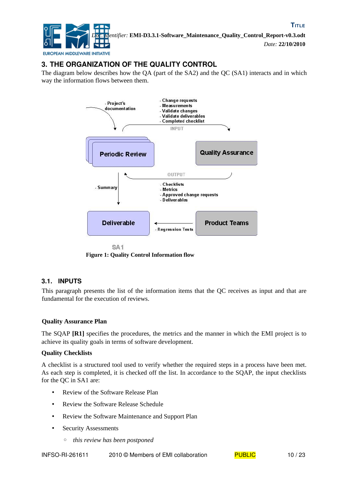![](_page_9_Picture_0.jpeg)

#### **3. THE ORGANIZATION OF THE QUALITY CONTROL**

The diagram below describes how the QA (part of the SA2) and the QC (SA1) interacts and in which way the information flows between them.

![](_page_9_Figure_4.jpeg)

**Figure 1: Quality Control Information flow**

#### **3.1. INPUTS**

This paragraph presents the list of the information items that the QC receives as input and that are fundamental for the execution of reviews.

#### **Quality Assurance Plan**

The SQAP **[\[R1\]](#page-5-1)** specifies the procedures, the metrics and the manner in which the EMI project is to achieve its quality goals in terms of software development.

#### **Quality Checklists**

A checklist is a structured tool used to verify whether the required steps in a process have been met. As each step is completed, it is checked off the list. In accordance to the SQAP, the input checklists for the QC in SA1 are:

- Review of the Software Release Plan
- Review the Software Release Schedule
- Review the Software Maintenance and Support Plan
- Security Assessments
	- *this review has been postponed*

INFSO-RI-261611 2010 © Members of EMI collaboration PUBLIC 10/23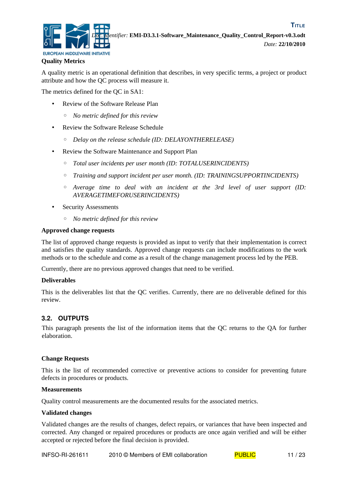![](_page_10_Picture_0.jpeg)

#### **Quality Metrics**

A quality metric is an operational definition that describes, in very specific terms, a project or product attribute and how the QC process will measure it.

The metrics defined for the QC in SA1:

- Review of the Software Release Plan
	- *No metric defined for this review*
- Review the Software Release Schedule
	- *Delay on the release schedule (ID: DELAYONTHERELEASE)*
- Review the Software Maintenance and Support Plan
	- *Total user incidents per user month (ID: TOTALUSERINCIDENTS)*
	- *Training and support incident per user month. (ID: TRAININGSUPPORTINCIDENTS)*
	- *Average time to deal with an incident at the 3rd level of user support (ID: AVERAGETIMEFORUSERINCIDENTS)*
- Security Assessments
	- *No metric defined for this review*

#### **Approved change requests**

The list of approved change requests is provided as input to verify that their implementation is correct and satisfies the quality standards. Approved change requests can include modifications to the work methods or to the schedule and come as a result of the change management process led by the PEB.

Currently, there are no previous approved changes that need to be verified.

#### **Deliverables**

This is the deliverables list that the QC verifies. Currently, there are no deliverable defined for this review.

#### **3.2. OUTPUTS**

This paragraph presents the list of the information items that the QC returns to the QA for further elaboration.

#### **Change Requests**

This is the list of recommended corrective or preventive actions to consider for preventing future defects in procedures or products.

#### **Measurements**

Quality control measurements are the documented results for the associated metrics.

#### **Validated changes**

Validated changes are the results of changes, defect repairs, or variances that have been inspected and corrected. Any changed or repaired procedures or products are once again verified and will be either accepted or rejected before the final decision is provided.

INFSO-RI-261611 2010 © Members of EMI collaboration PUBLIC 11/23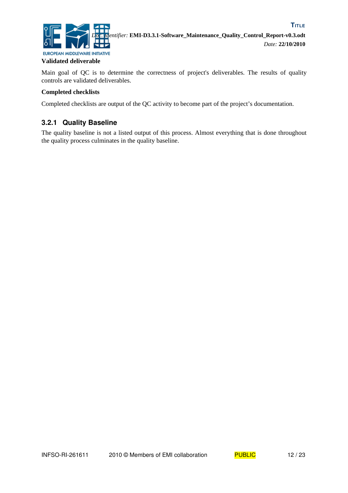![](_page_11_Picture_0.jpeg)

#### **Validated deliverable**

Main goal of QC is to determine the correctness of project's deliverables. The results of quality controls are validated deliverables.

#### **Completed checklists**

Completed checklists are output of the QC activity to become part of the project's documentation.

#### **3.2.1 Quality Baseline**

The quality baseline is not a listed output of this process. Almost everything that is done throughout the quality process culminates in the quality baseline.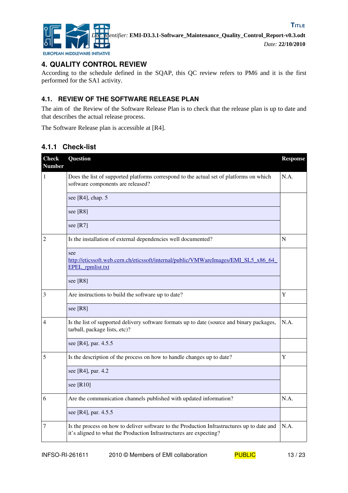![](_page_12_Picture_0.jpeg)

#### **4. QUALITY CONTROL REVIEW**

According to the schedule defined in the SQAP, this QC review refers to PM6 and it is the first performed for the SA1 activity.

#### **4.1. REVIEW OF THE SOFTWARE RELEASE PLAN**

The aim of the Review of the Software Release Plan is to check that the release plan is up to date and that describes the actual release process.

The Software Release plan is accessible at [\[R4\].](#page-5-2)

#### **4.1.1 Check-list**

| <b>Check</b><br><b>Number</b> | Question                                                                                                                                                         | <b>Response</b> |
|-------------------------------|------------------------------------------------------------------------------------------------------------------------------------------------------------------|-----------------|
| 1                             | Does the list of supported platforms correspond to the actual set of platforms on which<br>software components are released?                                     | N.A.            |
|                               | see [ $R4$ ], chap. 5                                                                                                                                            |                 |
|                               | see [R8]                                                                                                                                                         |                 |
|                               | see [R7]                                                                                                                                                         |                 |
| 2                             | Is the installation of external dependencies well documented?                                                                                                    | N               |
|                               | see<br>http://eticssoft.web.cern.ch/eticssoft/internal/public/VMWareImages/EMI_SL5_x86_64<br><b>EPEL</b> rpmlist.txt                                             |                 |
|                               | see [R8]                                                                                                                                                         |                 |
| 3                             | Are instructions to build the software up to date?                                                                                                               | Y               |
|                               | see [R8]                                                                                                                                                         |                 |
| 4                             | Is the list of supported delivery software formats up to date (source and binary packages,<br>tarball, package lists, etc)?                                      | N.A.            |
|                               | see [R4], par. 4.5.5                                                                                                                                             |                 |
| 5                             | Is the description of the process on how to handle changes up to date?                                                                                           | Y               |
|                               | see [R4], par. 4.2                                                                                                                                               |                 |
|                               | see $[R10]$                                                                                                                                                      |                 |
| 6                             | Are the communication channels published with updated information?                                                                                               | N.A.            |
|                               | see [R4], par. 4.5.5                                                                                                                                             |                 |
| 7                             | Is the process on how to deliver software to the Production Infrastructures up to date and<br>it's aligned to what the Production Infrastructures are expecting? | N.A.            |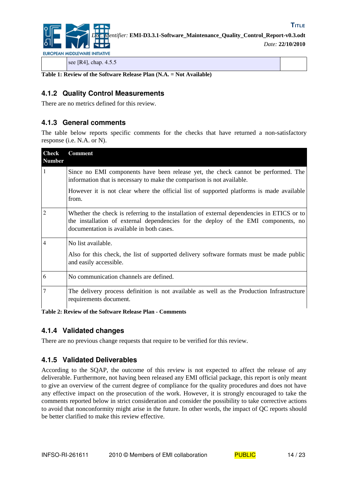![](_page_13_Picture_0.jpeg)

*Doc. Identifier:* **EMI-D3.3.1-Software\_Maintenance\_Quality\_Control\_Report-v0.3.odt** *Date:* **22/10/2010**

see [\[R4\],](#page-5-2) chap. 4.5.5

**Table 1: Review of the Software Release Plan (N.A. = Not Available)**

#### **4.1.2 Quality Control Measurements**

There are no metrics defined for this review.

#### **4.1.3 General comments**

The table below reports specific comments for the checks that have returned a non-satisfactory response (i.e. N.A. or N).

| <b>Check</b><br><b>Number</b> | <b>Comment</b>                                                                                                                                                                                                                |
|-------------------------------|-------------------------------------------------------------------------------------------------------------------------------------------------------------------------------------------------------------------------------|
| 1                             | Since no EMI components have been release yet, the check cannot be performed. The<br>information that is necessary to make the comparison is not available.                                                                   |
|                               | However it is not clear where the official list of supported platforms is made available<br>from.                                                                                                                             |
| $\overline{2}$                | Whether the check is referring to the installation of external dependencies in ETICS or to<br>the installation of external dependencies for the deploy of the EMI components, no<br>documentation is available in both cases. |
| $\overline{4}$                | No list available.                                                                                                                                                                                                            |
|                               | Also for this check, the list of supported delivery software formats must be made public<br>and easily accessible.                                                                                                            |
| 6                             | No communication channels are defined.                                                                                                                                                                                        |
| $\overline{7}$                | The delivery process definition is not available as well as the Production Infrastructure<br>requirements document.                                                                                                           |

**Table 2: Review of the Software Release Plan - Comments**

#### **4.1.4 Validated changes**

There are no previous change requests that require to be verified for this review.

#### **4.1.5 Validated Deliverables**

According to the SQAP, the outcome of this review is not expected to affect the release of any deliverable. Furthermore, not having been released any EMI official package, this report is only meant to give an overview of the current degree of compliance for the quality procedures and does not have any effective impact on the prosecution of the work. However, it is strongly encouraged to take the comments reported below in strict consideration and consider the possibility to take corrective actions to avoid that nonconformity might arise in the future. In other words, the impact of QC reports should be better clarified to make this review effective.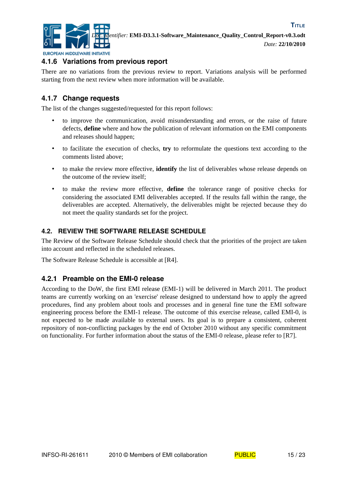![](_page_14_Picture_0.jpeg)

**TITLE**

#### **4.1.6 Variations from previous report**

There are no variations from the previous review to report. Variations analysis will be performed starting from the next review when more information will be available.

#### **4.1.7 Change requests**

The list of the changes suggested/requested for this report follows:

- to improve the communication, avoid misunderstanding and errors, or the raise of future defects, **define** where and how the publication of relevant information on the EMI components and releases should happen;
- to facilitate the execution of checks, **try** to reformulate the questions text according to the comments listed above;
- to make the review more effective, **identify** the list of deliverables whose release depends on the outcome of the review itself;
- to make the review more effective, **define** the tolerance range of positive checks for considering the associated EMI deliverables accepted. If the results fall within the range, the deliverables are accepted. Alternatively, the deliverables might be rejected because they do not meet the quality standards set for the project.

#### **4.2. REVIEW THE SOFTWARE RELEASE SCHEDULE**

The Review of the Software Release Schedule should check that the priorities of the project are taken into account and reflected in the scheduled releases.

The Software Release Schedule is accessible at [\[R4\].](#page-5-2)

#### **4.2.1 Preamble on the EMI-0 release**

According to the DoW, the first EMI release (EMI-1) will be delivered in March 2011. The product teams are currently working on an 'exercise' release designed to understand how to apply the agreed procedures, find any problem about tools and processes and in general fine tune the EMI software engineering process before the EMI-1 release. The outcome of this exercise release, called EMI-0, is not expected to be made available to external users. Its goal is to prepare a consistent, coherent repository of non-conflicting packages by the end of October 2010 without any specific commitment on functionality*.* For further information about the status of the EMI-0 release, please refer to [\[R7\].](#page-5-5)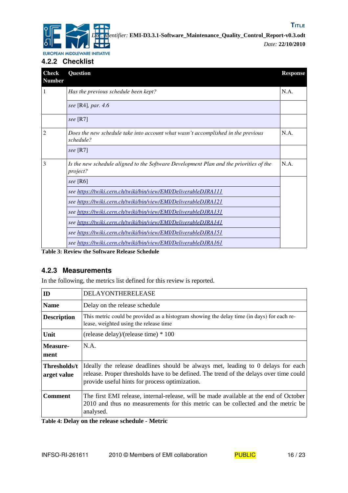![](_page_15_Picture_0.jpeg)

**4.2.2 Checklist**

| <b>Check</b><br><b>Number</b> | <b>Question</b>                                                                                    | <b>Response</b> |
|-------------------------------|----------------------------------------------------------------------------------------------------|-----------------|
| 1                             | Has the previous schedule been kept?                                                               | N.A.            |
|                               | see [R4], par. $4.6$                                                                               |                 |
|                               | see $[R7]$                                                                                         |                 |
| $\mathfrak{D}$                | Does the new schedule take into account what wasn't accomplished in the previous<br>schedule?      | N.A.            |
|                               | see $[R7]$                                                                                         |                 |
| 3                             | Is the new schedule aligned to the Software Development Plan and the priorities of the<br>project? | N.A.            |
|                               | see [R6]                                                                                           |                 |
|                               | see https://twiki.cern.ch/twiki/bin/view/EMI/DeliverableDJRA111                                    |                 |
|                               | see https://twiki.cern.ch/twiki/bin/view/EMI/DeliverableDJRA121                                    |                 |
|                               | see https://twiki.cern.ch/twiki/bin/view/EMI/DeliverableDJRA131                                    |                 |
|                               | see https://twiki.cern.ch/twiki/bin/view/EMI/DeliverableDJRA141                                    |                 |
|                               | see https://twiki.cern.ch/twiki/bin/view/EMI/DeliverableDJRA151                                    |                 |
|                               | see https://twiki.cern.ch/twiki/bin/view/EMI/DeliverableDJRA161                                    |                 |

**Table 3: Review the Software Release Schedule**

#### **4.2.3 Measurements**

In the following, the metrics list defined for this review is reported.

| ID                          | <b>DELAYONTHERELEASE</b>                                                                                                                                                                                                     |
|-----------------------------|------------------------------------------------------------------------------------------------------------------------------------------------------------------------------------------------------------------------------|
| <b>Name</b>                 | Delay on the release schedule                                                                                                                                                                                                |
| <b>Description</b>          | This metric could be provided as a histogram showing the delay time (in days) for each re-<br>lease, weighted using the release time                                                                                         |
| Unit                        | (release delay)/(release time) $*100$                                                                                                                                                                                        |
| Measure-<br>ment            | N.A.                                                                                                                                                                                                                         |
| Thresholds/t<br>arget value | Ideally the release deadlines should be always met, leading to 0 delays for each<br>release. Proper thresholds have to be defined. The trend of the delays over time could<br>provide useful hints for process optimization. |
| Comment                     | The first EMI release, internal-release, will be made available at the end of October<br>2010 and thus no measurements for this metric can be collected and the metric be<br>analysed.                                       |

**Table 4: Delay on the release schedule - Metric**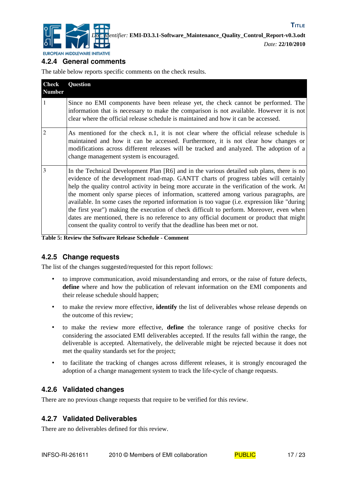![](_page_16_Picture_0.jpeg)

#### **4.2.4 General comments**

The table below reports specific comments on the check results.

| <b>Check</b><br><b>Number</b> | Question                                                                                                                                                                                                                                                                                                                                                                                                                                                                                                                                                                                                                                                                                                                                             |
|-------------------------------|------------------------------------------------------------------------------------------------------------------------------------------------------------------------------------------------------------------------------------------------------------------------------------------------------------------------------------------------------------------------------------------------------------------------------------------------------------------------------------------------------------------------------------------------------------------------------------------------------------------------------------------------------------------------------------------------------------------------------------------------------|
| 1                             | Since no EMI components have been release yet, the check cannot be performed. The<br>information that is necessary to make the comparison is not available. However it is not<br>clear where the official release schedule is maintained and how it can be accessed.                                                                                                                                                                                                                                                                                                                                                                                                                                                                                 |
| $\mathfrak{D}$                | As mentioned for the check n.1, it is not clear where the official release schedule is<br>maintained and how it can be accessed. Furthermore, it is not clear how changes or<br>modifications across different releases will be tracked and analyzed. The adoption of a<br>change management system is encouraged.                                                                                                                                                                                                                                                                                                                                                                                                                                   |
| 3                             | In the Technical Development Plan [R6] and in the various detailed sub plans, there is no<br>evidence of the development road-map. GANTT charts of progress tables will certainly<br>help the quality control activity in being more accurate in the verification of the work. At<br>the moment only sparse pieces of information, scattered among various paragraphs, are<br>available. In some cases the reported information is too vague (i.e. expression like "during"<br>the first year") making the execution of check difficult to perform. Moreover, even when<br>dates are mentioned, there is no reference to any official document or product that might<br>consent the quality control to verify that the deadline has been met or not. |

**Table 5: Review the Software Release Schedule - Comment**

#### **4.2.5 Change requests**

The list of the changes suggested/requested for this report follows:

- to improve communication, avoid misunderstanding and errors, or the raise of future defects, **define** where and how the publication of relevant information on the EMI components and their release schedule should happen;
- to make the review more effective, **identify** the list of deliverables whose release depends on the outcome of this review;
- to make the review more effective, **define** the tolerance range of positive checks for considering the associated EMI deliverables accepted. If the results fall within the range, the deliverable is accepted. Alternatively, the deliverable might be rejected because it does not met the quality standards set for the project;
- to facilitate the tracking of changes across different releases, it is strongly encouraged the adoption of a change management system to track the life-cycle of change requests.

#### **4.2.6 Validated changes**

There are no previous change requests that require to be verified for this review.

#### **4.2.7 Validated Deliverables**

There are no deliverables defined for this review.

![](_page_16_Picture_18.jpeg)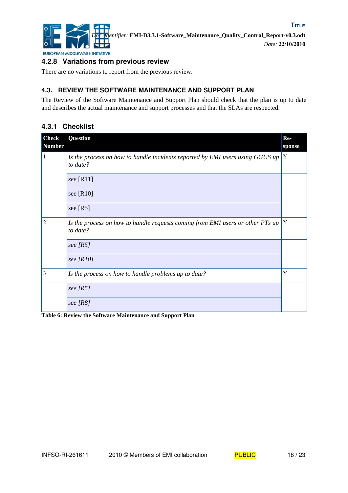![](_page_17_Picture_0.jpeg)

#### **4.2.8 Variations from previous review**

There are no variations to report from the previous review.

#### **4.3. REVIEW THE SOFTWARE MAINTENANCE AND SUPPORT PLAN**

The Review of the Software Maintenance and Support Plan should check that the plan is up to date and describes the actual maintenance and support processes and that the SLAs are respected.

#### **4.3.1 Checklist**

| <b>Check</b><br><b>Number</b> | Question                                                                                   | Re-<br>sponse |
|-------------------------------|--------------------------------------------------------------------------------------------|---------------|
| 1                             | Is the process on how to handle incidents reported by EMI users using GGUS up<br>to date?  | Y             |
|                               | see $[R11]$                                                                                |               |
|                               | see $[R10]$                                                                                |               |
|                               | see $[R5]$                                                                                 |               |
| 2                             | Is the process on how to handle requests coming from EMI users or other PTs up<br>to date? | Y             |
|                               | see $[RS]$                                                                                 |               |
|                               | see $[R10]$                                                                                |               |
| 3                             | Is the process on how to handle problems up to date?                                       | Y             |
|                               | see $[RS]$                                                                                 |               |
|                               | see $[RS]$                                                                                 |               |

**Table 6: Review the Software Maintenance and Support Plan**

![](_page_17_Picture_11.jpeg)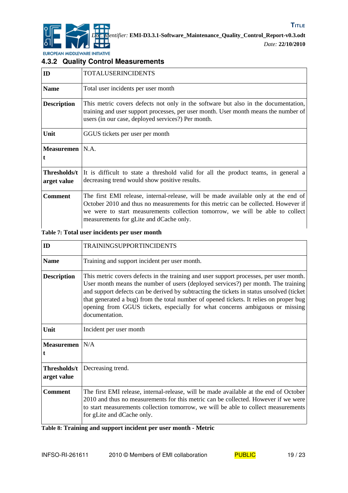![](_page_18_Picture_0.jpeg)

#### **4.3.2 Quality Control Measurements**

| ID                          | TOTALUSERINCIDENTS                                                                                                                                                                                                                                                                                   |
|-----------------------------|------------------------------------------------------------------------------------------------------------------------------------------------------------------------------------------------------------------------------------------------------------------------------------------------------|
| <b>Name</b>                 | Total user incidents per user month                                                                                                                                                                                                                                                                  |
| <b>Description</b>          | This metric covers defects not only in the software but also in the documentation,<br>training and user support processes, per user month. User month means the number of<br>users (in our case, deployed services?) Per month.                                                                      |
| Unit                        | GGUS tickets per user per month                                                                                                                                                                                                                                                                      |
| Measuremen   N.A.           |                                                                                                                                                                                                                                                                                                      |
| Thresholds/t<br>arget value | It is difficult to state a threshold valid for all the product teams, in general a<br>decreasing trend would show positive results.                                                                                                                                                                  |
| <b>Comment</b>              | The first EMI release, internal-release, will be made available only at the end of<br>October 2010 and thus no measurements for this metric can be collected. However if<br>we were to start measurements collection tomorrow, we will be able to collect<br>measurements for gLite and dCache only. |

#### **Table 7: Total user incidents per user month**

| ID                          | <b>TRAININGSUPPORTINCIDENTS</b>                                                                                                                                                                                                                                                                                                                                                                                                                                     |
|-----------------------------|---------------------------------------------------------------------------------------------------------------------------------------------------------------------------------------------------------------------------------------------------------------------------------------------------------------------------------------------------------------------------------------------------------------------------------------------------------------------|
| <b>Name</b>                 | Training and support incident per user month.                                                                                                                                                                                                                                                                                                                                                                                                                       |
| <b>Description</b>          | This metric covers defects in the training and user support processes, per user month.<br>User month means the number of users (deployed services?) per month. The training<br>and support defects can be derived by subtracting the tickets in status unsolved (ticket<br>that generated a bug) from the total number of opened tickets. It relies on proper bug<br>opening from GGUS tickets, especially for what concerns ambiguous or missing<br>documentation. |
| Unit                        | Incident per user month                                                                                                                                                                                                                                                                                                                                                                                                                                             |
| <b>Measuremen</b>           | N/A                                                                                                                                                                                                                                                                                                                                                                                                                                                                 |
| Thresholds/t<br>arget value | Decreasing trend.                                                                                                                                                                                                                                                                                                                                                                                                                                                   |
| <b>Comment</b>              | The first EMI release, internal-release, will be made available at the end of October<br>2010 and thus no measurements for this metric can be collected. However if we were<br>to start measurements collection tomorrow, we will be able to collect measurements<br>for gLite and dCache only.                                                                                                                                                                     |

**Table 8: Training and support incident per user month - Metric**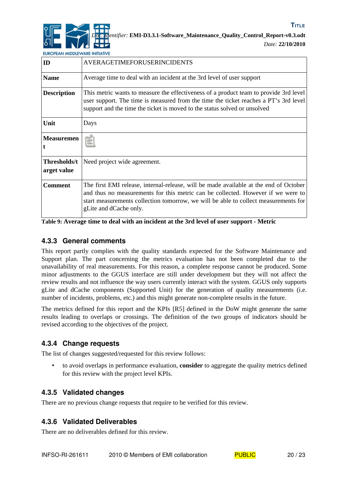![](_page_19_Picture_0.jpeg)

*Date:* **22/10/2010**

**TITLE**

EUROPEAN MIDDLEWARE INITIATIVE

| ID                          | AVERAGETIMEFORUSERINCIDENTS                                                                                                                                                                                                                                                                |
|-----------------------------|--------------------------------------------------------------------------------------------------------------------------------------------------------------------------------------------------------------------------------------------------------------------------------------------|
| <b>Name</b>                 | Average time to deal with an incident at the 3rd level of user support                                                                                                                                                                                                                     |
| <b>Description</b>          | This metric wants to measure the effectiveness of a product team to provide 3rd level<br>user support. The time is measured from the time the ticket reaches a PT's 3rd level<br>support and the time the ticket is moved to the status solved or unsolved                                 |
| Unit                        | Days                                                                                                                                                                                                                                                                                       |
| <b>Measuremen</b>           | N.A.                                                                                                                                                                                                                                                                                       |
| Thresholds/t<br>arget value | Need project wide agreement.                                                                                                                                                                                                                                                               |
| <b>Comment</b>              | The first EMI release, internal-release, will be made available at the end of October<br>and thus no measurements for this metric can be collected. However if we were to<br>start measurements collection tomorrow, we will be able to collect measurements for<br>gLite and dCache only. |

**Table 9: Average time to deal with an incident at the 3rd level of user support - Metric**

#### **4.3.3 General comments**

This report partly complies with the quality standards expected for the Software Maintenance and Support plan. The part concerning the metrics evaluation has not been completed due to the unavailability of real measurements. For this reason, a complete response cannot be produced. Some minor adjustments to the GGUS interface are still under development but they will not affect the review results and not influence the way users currently interact with the system. GGUS only supports gLite and dCache components (Supported Unit) for the generation of quality measurements (i.e. number of incidents, problems, etc.) and this might generate non-complete results in the future.

The metrics defined for this report and the KPIs [\[R5\]](#page-5-7) defined in the DoW might generate the same results leading to overlaps or crossings. The definition of the two groups of indicators should be revised according to the objectives of the project.

#### **4.3.4 Change requests**

The list of changes suggested/requested for this review follows:

• to avoid overlaps in performance evaluation, **consider** to aggregate the quality metrics defined for this review with the project level KPIs.

#### **4.3.5 Validated changes**

There are no previous change requests that require to be verified for this review.

#### **4.3.6 Validated Deliverables**

There are no deliverables defined for this review.

![](_page_19_Picture_17.jpeg)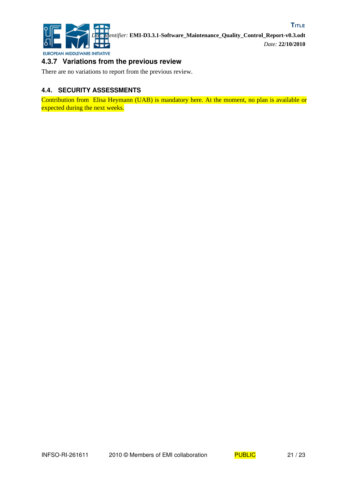![](_page_20_Picture_0.jpeg)

#### **4.3.7 Variations from the previous review**

There are no variations to report from the previous review.

#### **4.4. SECURITY ASSESSMENTS**

Contribution from Elisa Heymann (UAB) is mandatory here. At the moment, no plan is available or expected during the next weeks.

![](_page_20_Picture_7.jpeg)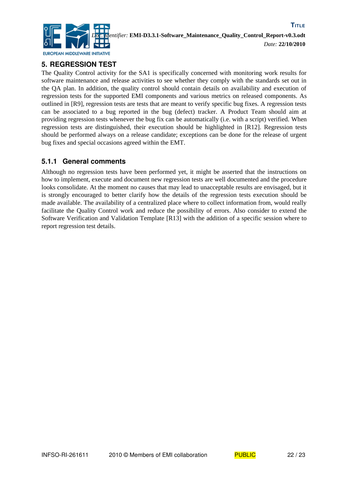![](_page_21_Picture_0.jpeg)

#### **5. REGRESSION TEST**

The Quality Control activity for the SA1 is specifically concerned with monitoring work results for software maintenance and release activities to see whether they comply with the standards set out in the QA plan. In addition, the quality control should contain details on availability and execution of regression tests for the supported EMI components and various metrics on released components. As outlined in [\[R9\],](#page-5-11) regression tests are tests that are meant to verify specific bug fixes. A regression tests can be associated to a bug reported in the bug (defect) tracker. A Product Team should aim at providing regression tests whenever the bug fix can be automatically (i.e. with a script) verified. When regression tests are distinguished, their execution should be highlighted in [\[R12\].](#page-5-10) Regression tests should be performed always on a release candidate; exceptions can be done for the release of urgent bug fixes and special occasions agreed within the EMT.

#### **5.1.1 General comments**

Although no regression tests have been performed yet, it might be asserted that the instructions on how to implement, execute and document new regression tests are well documented and the procedure looks consolidate. At the moment no causes that may lead to unacceptable results are envisaged, but it is strongly encouraged to better clarify how the details of the regression tests execution should be made available. The availability of a centralized place where to collect information from, would really facilitate the Quality Control work and reduce the possibility of errors. Also consider to extend the Software Verification and Validation Template [\[R13\]](#page-5-9) with the addition of a specific session where to report regression test details.

![](_page_21_Picture_7.jpeg)